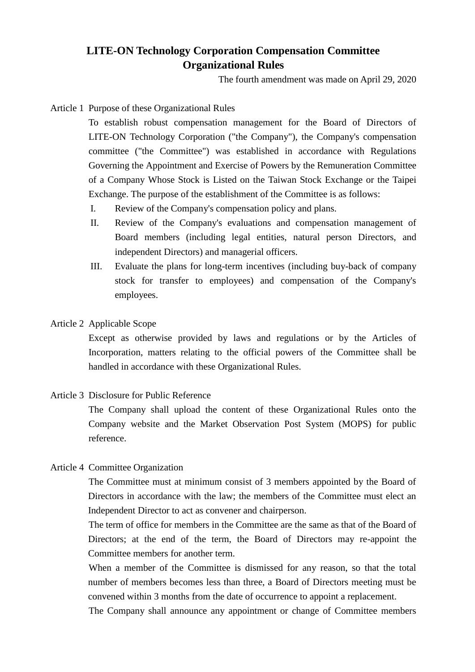# **LITE-ON Technology Corporation Compensation Committee Organizational Rules**

The fourth amendment was made on April 29, 2020

Article 1 Purpose of these Organizational Rules

To establish robust compensation management for the Board of Directors of LITE-ON Technology Corporation ("the Company"), the Company's compensation committee ("the Committee") was established in accordance with Regulations Governing the Appointment and Exercise of Powers by the Remuneration Committee of a Company Whose Stock is Listed on the Taiwan Stock Exchange or the Taipei Exchange. The purpose of the establishment of the Committee is as follows:

- I. Review of the Company's compensation policy and plans.
- II. Review of the Company's evaluations and compensation management of Board members (including legal entities, natural person Directors, and independent Directors) and managerial officers.
- III. Evaluate the plans for long-term incentives (including buy-back of company stock for transfer to employees) and compensation of the Company's employees.
- Article 2 Applicable Scope

Except as otherwise provided by laws and regulations or by the Articles of Incorporation, matters relating to the official powers of the Committee shall be handled in accordance with these Organizational Rules.

Article 3 Disclosure for Public Reference

The Company shall upload the content of these Organizational Rules onto the Company website and the Market Observation Post System (MOPS) for public reference.

Article 4 Committee Organization

The Committee must at minimum consist of 3 members appointed by the Board of Directors in accordance with the law; the members of the Committee must elect an Independent Director to act as convener and chairperson.

The term of office for members in the Committee are the same as that of the Board of Directors; at the end of the term, the Board of Directors may re-appoint the Committee members for another term.

When a member of the Committee is dismissed for any reason, so that the total number of members becomes less than three, a Board of Directors meeting must be convened within 3 months from the date of occurrence to appoint a replacement.

The Company shall announce any appointment or change of Committee members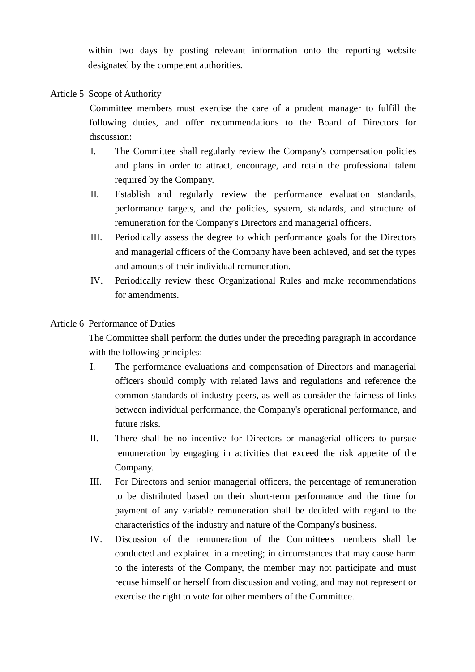within two days by posting relevant information onto the reporting website designated by the competent authorities.

## Article 5 Scope of Authority

Committee members must exercise the care of a prudent manager to fulfill the following duties, and offer recommendations to the Board of Directors for discussion:

- I. The Committee shall regularly review the Company's compensation policies and plans in order to attract, encourage, and retain the professional talent required by the Company.
- II. Establish and regularly review the performance evaluation standards, performance targets, and the policies, system, standards, and structure of remuneration for the Company's Directors and managerial officers.
- III. Periodically assess the degree to which performance goals for the Directors and managerial officers of the Company have been achieved, and set the types and amounts of their individual remuneration.
- IV. Periodically review these Organizational Rules and make recommendations for amendments.

### Article 6 Performance of Duties

The Committee shall perform the duties under the preceding paragraph in accordance with the following principles:

- I. The performance evaluations and compensation of Directors and managerial officers should comply with related laws and regulations and reference the common standards of industry peers, as well as consider the fairness of links between individual performance, the Company's operational performance, and future risks.
- II. There shall be no incentive for Directors or managerial officers to pursue remuneration by engaging in activities that exceed the risk appetite of the Company.
- III. For Directors and senior managerial officers, the percentage of remuneration to be distributed based on their short-term performance and the time for payment of any variable remuneration shall be decided with regard to the characteristics of the industry and nature of the Company's business.
- IV. Discussion of the remuneration of the Committee's members shall be conducted and explained in a meeting; in circumstances that may cause harm to the interests of the Company, the member may not participate and must recuse himself or herself from discussion and voting, and may not represent or exercise the right to vote for other members of the Committee.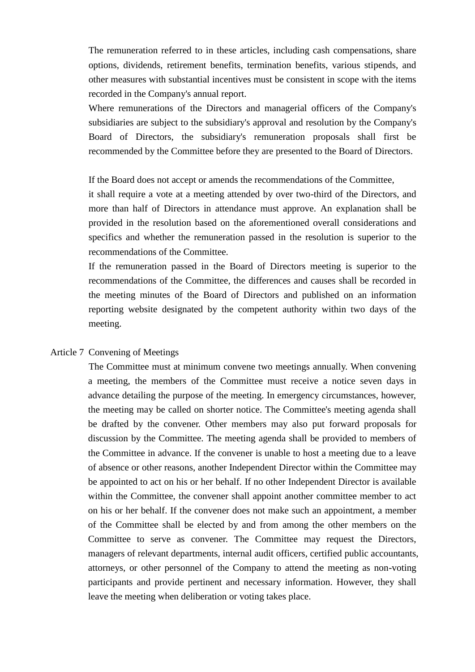The remuneration referred to in these articles, including cash compensations, share options, dividends, retirement benefits, termination benefits, various stipends, and other measures with substantial incentives must be consistent in scope with the items recorded in the Company's annual report.

Where remunerations of the Directors and managerial officers of the Company's subsidiaries are subject to the subsidiary's approval and resolution by the Company's Board of Directors, the subsidiary's remuneration proposals shall first be recommended by the Committee before they are presented to the Board of Directors.

If the Board does not accept or amends the recommendations of the Committee,

it shall require a vote at a meeting attended by over two-third of the Directors, and more than half of Directors in attendance must approve. An explanation shall be provided in the resolution based on the aforementioned overall considerations and specifics and whether the remuneration passed in the resolution is superior to the recommendations of the Committee.

If the remuneration passed in the Board of Directors meeting is superior to the recommendations of the Committee, the differences and causes shall be recorded in the meeting minutes of the Board of Directors and published on an information reporting website designated by the competent authority within two days of the meeting.

#### Article 7 Convening of Meetings

The Committee must at minimum convene two meetings annually. When convening a meeting, the members of the Committee must receive a notice seven days in advance detailing the purpose of the meeting. In emergency circumstances, however, the meeting may be called on shorter notice. The Committee's meeting agenda shall be drafted by the convener. Other members may also put forward proposals for discussion by the Committee. The meeting agenda shall be provided to members of the Committee in advance. If the convener is unable to host a meeting due to a leave of absence or other reasons, another Independent Director within the Committee may be appointed to act on his or her behalf. If no other Independent Director is available within the Committee, the convener shall appoint another committee member to act on his or her behalf. If the convener does not make such an appointment, a member of the Committee shall be elected by and from among the other members on the Committee to serve as convener. The Committee may request the Directors, managers of relevant departments, internal audit officers, certified public accountants, attorneys, or other personnel of the Company to attend the meeting as non-voting participants and provide pertinent and necessary information. However, they shall leave the meeting when deliberation or voting takes place.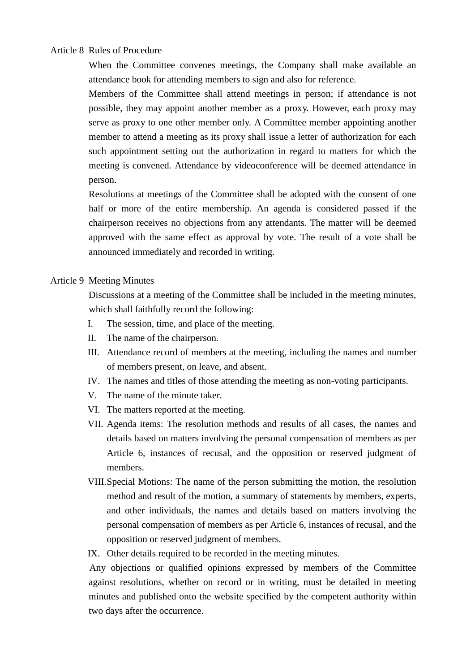Article 8 Rules of Procedure

When the Committee convenes meetings, the Company shall make available an attendance book for attending members to sign and also for reference.

Members of the Committee shall attend meetings in person; if attendance is not possible, they may appoint another member as a proxy. However, each proxy may serve as proxy to one other member only. A Committee member appointing another member to attend a meeting as its proxy shall issue a letter of authorization for each such appointment setting out the authorization in regard to matters for which the meeting is convened. Attendance by videoconference will be deemed attendance in person.

Resolutions at meetings of the Committee shall be adopted with the consent of one half or more of the entire membership. An agenda is considered passed if the chairperson receives no objections from any attendants. The matter will be deemed approved with the same effect as approval by vote. The result of a vote shall be announced immediately and recorded in writing.

#### Article 9 Meeting Minutes

Discussions at a meeting of the Committee shall be included in the meeting minutes, which shall faithfully record the following:

- I. The session, time, and place of the meeting.
- II. The name of the chairperson.
- III. Attendance record of members at the meeting, including the names and number of members present, on leave, and absent.
- IV. The names and titles of those attending the meeting as non-voting participants.
- V. The name of the minute taker.
- VI. The matters reported at the meeting.
- VII. Agenda items: The resolution methods and results of all cases, the names and details based on matters involving the personal compensation of members as per Article 6, instances of recusal, and the opposition or reserved judgment of members.
- VIII.Special Motions: The name of the person submitting the motion, the resolution method and result of the motion, a summary of statements by members, experts, and other individuals, the names and details based on matters involving the personal compensation of members as per Article 6, instances of recusal, and the opposition or reserved judgment of members.
- IX. Other details required to be recorded in the meeting minutes.

Any objections or qualified opinions expressed by members of the Committee against resolutions, whether on record or in writing, must be detailed in meeting minutes and published onto the website specified by the competent authority within two days after the occurrence.